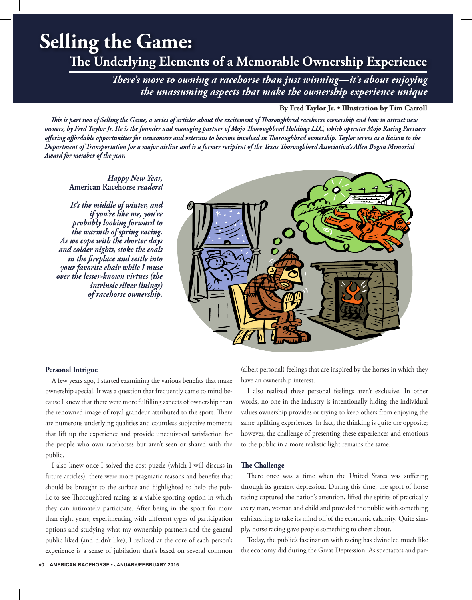# **Selling the Game:**

# **The Underlying Elements of a Memorable Ownership Experience**

*There's more to owning a racehorse than just winning—it's about enjoying the unassuming aspects that make the ownership experience unique*

# **By Fred Taylor Jr. • Illustration by Tim Carroll**

*This is part two of Selling the Game, a series of articles about the excitement of Thoroughbred racehorse ownership and how to attract new owners, by Fred Taylor Jr. He is the founder and managing partner of Mojo Thoroughbred Holdings LLC, which operates Mojo Racing Partners offering affordable opportunities for newcomers and veterans to become involved in Thoroughbred ownership. Taylor serves as a liaison to the Department of Transportation for a major airline and is a former recipient of the Texas Thoroughbred Association's Allen Bogan Memorial Award for member of the year.* 

*Happy New Year,*  **American Racehorse** *readers!*

*It's the middle of winter, and if you're like me, you're probably looking forward to the warmth of spring racing. As we cope with the shorter days and colder nights, stoke the coals in the fireplace and settle into your favorite chair while I muse over the lesser-known virtues (the intrinsic silver linings) of racehorse ownership.*



### **Personal Intrigue**

A few years ago, I started examining the various benefits that make ownership special. It was a question that frequently came to mind because I knew that there were more fulfilling aspects of ownership than the renowned image of royal grandeur attributed to the sport. There are numerous underlying qualities and countless subjective moments that lift up the experience and provide unequivocal satisfaction for the people who own racehorses but aren't seen or shared with the public.

I also knew once I solved the cost puzzle (which I will discuss in future articles), there were more pragmatic reasons and benefits that should be brought to the surface and highlighted to help the public to see Thoroughbred racing as a viable sporting option in which they can intimately participate. After being in the sport for more than eight years, experimenting with different types of participation options and studying what my ownership partners and the general public liked (and didn't like), I realized at the core of each person's experience is a sense of jubilation that's based on several common (albeit personal) feelings that are inspired by the horses in which they have an ownership interest.

I also realized these personal feelings aren't exclusive. In other words, no one in the industry is intentionally hiding the individual values ownership provides or trying to keep others from enjoying the same uplifting experiences. In fact, the thinking is quite the opposite; however, the challenge of presenting these experiences and emotions to the public in a more realistic light remains the same.

#### **The Challenge**

There once was a time when the United States was suffering through its greatest depression. During this time, the sport of horse racing captured the nation's attention, lifted the spirits of practically every man, woman and child and provided the public with something exhilarating to take its mind off of the economic calamity. Quite simply, horse racing gave people something to cheer about.

Today, the public's fascination with racing has dwindled much like the economy did during the Great Depression. As spectators and par-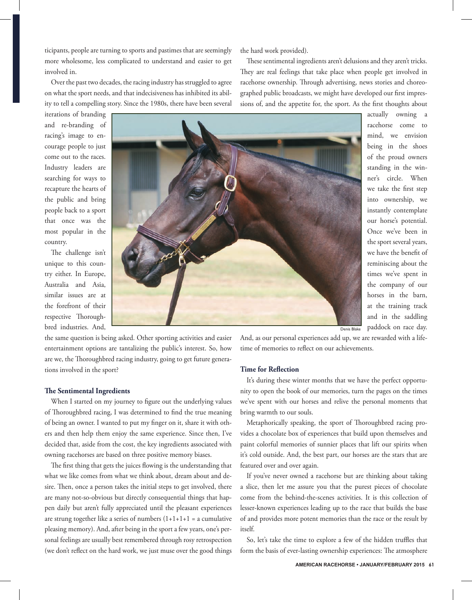ticipants, people are turning to sports and pastimes that are seemingly more wholesome, less complicated to understand and easier to get involved in.

Over the past two decades, the racing industry has struggled to agree on what the sport needs, and that indecisiveness has inhibited its ability to tell a compelling story. Since the 1980s, there have been several

iterations of branding and re-branding of racing's image to encourage people to just come out to the races. Industry leaders are searching for ways to recapture the hearts of the public and bring people back to a sport that once was the most popular in the country.

The challenge isn't unique to this country either. In Europe, Australia and Asia, similar issues are at the forefront of their respective Thoroughbred industries. And,



the same question is being asked. Other sporting activities and easier entertainment options are tantalizing the public's interest. So, how are we, the Thoroughbred racing industry, going to get future generations involved in the sport?

#### **The Sentimental Ingredients**

When I started on my journey to figure out the underlying values of Thoroughbred racing, I was determined to find the true meaning of being an owner. I wanted to put my finger on it, share it with others and then help them enjoy the same experience. Since then, I've decided that, aside from the cost, the key ingredients associated with owning racehorses are based on three positive memory biases.

The first thing that gets the juices flowing is the understanding that what we like comes from what we think about, dream about and desire. Then, once a person takes the initial steps to get involved, there are many not-so-obvious but directly consequential things that happen daily but aren't fully appreciated until the pleasant experiences are strung together like a series of numbers  $(1+1+1+1)$  = a cumulative pleasing memory). And, after being in the sport a few years, one's personal feelings are usually best remembered through rosy retrospection (we don't reflect on the hard work, we just muse over the good things the hard work provided).

These sentimental ingredients aren't delusions and they aren't tricks. They are real feelings that take place when people get involved in racehorse ownership. Through advertising, news stories and choreographed public broadcasts, we might have developed our first impressions of, and the appetite for, the sport. As the first thoughts about

> actually owning a racehorse come to mind, we envision being in the shoes of the proud owners standing in the winner's circle. When we take the first step into ownership, we instantly contemplate our horse's potential. Once we've been in the sport several years, we have the benefit of reminiscing about the times we've spent in the company of our horses in the barn, at the training track and in the saddling paddock on race day.

And, as our personal experiences add up, we are rewarded with a lifetime of memories to reflect on our achievements.

#### **Time for Reflection**

It's during these winter months that we have the perfect opportunity to open the book of our memories, turn the pages on the times we've spent with our horses and relive the personal moments that bring warmth to our souls.

Metaphorically speaking, the sport of Thoroughbred racing provides a chocolate box of experiences that build upon themselves and paint colorful memories of sunnier places that lift our spirits when it's cold outside. And, the best part, our horses are the stars that are featured over and over again.

If you've never owned a racehorse but are thinking about taking a slice, then let me assure you that the purest pieces of chocolate come from the behind-the-scenes activities. It is this collection of lesser-known experiences leading up to the race that builds the base of and provides more potent memories than the race or the result by itself.

So, let's take the time to explore a few of the hidden truffles that form the basis of ever-lasting ownership experiences: The atmosphere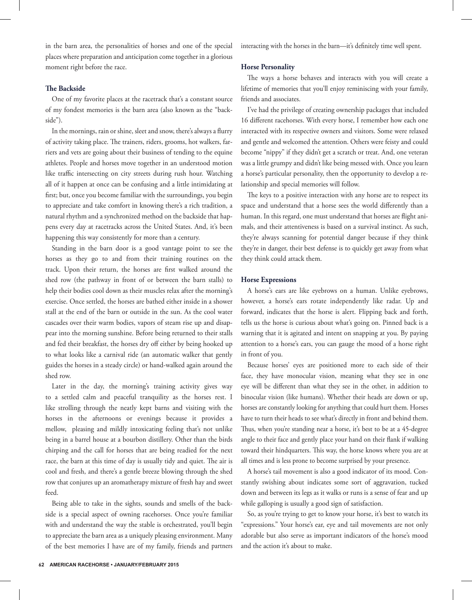in the barn area, the personalities of horses and one of the special places where preparation and anticipation come together in a glorious moment right before the race.

# **The Backside**

One of my favorite places at the racetrack that's a constant source of my fondest memories is the barn area (also known as the "backside").

In the mornings, rain or shine, sleet and snow, there's always a flurry of activity taking place. The trainers, riders, grooms, hot walkers, farriers and vets are going about their business of tending to the equine athletes. People and horses move together in an understood motion like traffic intersecting on city streets during rush hour. Watching all of it happen at once can be confusing and a little intimidating at first; but, once you become familiar with the surroundings, you begin to appreciate and take comfort in knowing there's a rich tradition, a natural rhythm and a synchronized method on the backside that happens every day at racetracks across the United States. And, it's been happening this way consistently for more than a century.

Standing in the barn door is a good vantage point to see the horses as they go to and from their training routines on the track. Upon their return, the horses are first walked around the shed row (the pathway in front of or between the barn stalls) to help their bodies cool down as their muscles relax after the morning's exercise. Once settled, the horses are bathed either inside in a shower stall at the end of the barn or outside in the sun. As the cool water cascades over their warm bodies, vapors of steam rise up and disappear into the morning sunshine. Before being returned to their stalls and fed their breakfast, the horses dry off either by being hooked up to what looks like a carnival ride (an automatic walker that gently guides the horses in a steady circle) or hand-walked again around the shed row.

Later in the day, the morning's training activity gives way to a settled calm and peaceful tranquility as the horses rest. I like strolling through the neatly kept barns and visiting with the horses in the afternoons or evenings because it provides a mellow, pleasing and mildly intoxicating feeling that's not unlike being in a barrel house at a bourbon distillery. Other than the birds chirping and the call for horses that are being readied for the next race, the barn at this time of day is usually tidy and quiet. The air is cool and fresh, and there's a gentle breeze blowing through the shed row that conjures up an aromatherapy mixture of fresh hay and sweet feed.

Being able to take in the sights, sounds and smells of the backside is a special aspect of owning racehorses. Once you're familiar with and understand the way the stable is orchestrated, you'll begin to appreciate the barn area as a uniquely pleasing environment. Many of the best memories I have are of my family, friends and partners interacting with the horses in the barn—it's definitely time well spent.

#### **Horse Personality**

The ways a horse behaves and interacts with you will create a lifetime of memories that you'll enjoy reminiscing with your family, friends and associates.

I've had the privilege of creating ownership packages that included 16 different racehorses. With every horse, I remember how each one interacted with its respective owners and visitors. Some were relaxed and gentle and welcomed the attention. Others were feisty and could become "nippy" if they didn't get a scratch or treat. And, one veteran was a little grumpy and didn't like being messed with. Once you learn a horse's particular personality, then the opportunity to develop a relationship and special memories will follow.

The keys to a positive interaction with any horse are to respect its space and understand that a horse sees the world differently than a human. In this regard, one must understand that horses are flight animals, and their attentiveness is based on a survival instinct. As such, they're always scanning for potential danger because if they think they're in danger, their best defense is to quickly get away from what they think could attack them.

# **Horse Expressions**

A horse's ears are like eyebrows on a human. Unlike eyebrows, however, a horse's ears rotate independently like radar. Up and forward, indicates that the horse is alert. Flipping back and forth, tells us the horse is curious about what's going on. Pinned back is a warning that it is agitated and intent on snapping at you. By paying attention to a horse's ears, you can gauge the mood of a horse right in front of you.

Because horses' eyes are positioned more to each side of their face, they have monocular vision, meaning what they see in one eye will be different than what they see in the other, in addition to binocular vision (like humans). Whether their heads are down or up, horses are constantly looking for anything that could hurt them. Horses have to turn their heads to see what's directly in front and behind them. Thus, when you're standing near a horse, it's best to be at a 45-degree angle to their face and gently place your hand on their flank if walking toward their hindquarters. This way, the horse knows where you are at all times and is less prone to become surprised by your presence.

A horse's tail movement is also a good indicator of its mood. Constantly swishing about indicates some sort of aggravation, tucked down and between its legs as it walks or runs is a sense of fear and up while galloping is usually a good sign of satisfaction.

So, as you're trying to get to know your horse, it's best to watch its "expressions." Your horse's ear, eye and tail movements are not only adorable but also serve as important indicators of the horse's mood and the action it's about to make.